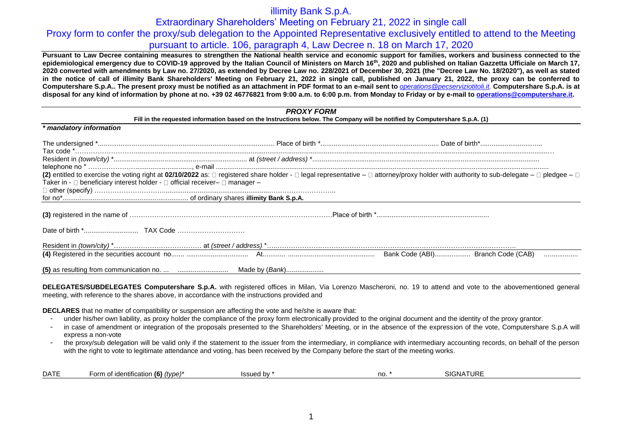## illimity Bank S.p.A.

Extraordinary Shareholders' Meeting on February 21, 2022 in single call

### Proxy form to confer the proxy/sub delegation to the Appointed Representative exclusively entitled to attend to the Meeting pursuant to article. 106, paragraph 4, Law Decree n. 18 on March 17, 2020

**Pursuant to Law Decree containing measures to strengthen the National health service and economic support for families, workers and business connected to the epidemiological emergency due to COVID-19 approved by the Italian Council of Ministers on March 16th, 2020 and published on Italian Gazzetta Ufficiale on March 17, 2020 converted with amendments by Law no. 27/2020, as extended by Decree Law no. 228/2021 of December 30, 2021 (the "Decree Law No. 18/2020"), as well as stated in the notice of call of illimity Bank Shareholders' Meeting on February 21, 2022 in single call, published on January 21, 2022, the proxy can be conferred to**  Computershare S.p.A.. The present proxy must be notified as an attachment in PDF format to an e-mail sent to *[operations@pecserviziotitoli.it.](mailto:operations@pecserviziotitoli.it)* Computershare S.p.A. is at **disposal for any kind of information by phone at no. +39 02 46776821 from 9:00 a.m. to 6:00 p.m. from Monday to Friday or by e-mail to [operations@computershare.it.](mailto:operations@computershare.it)**

| <b>PROXY FORM</b><br>Fill in the requested information based on the Instructions below. The Company will be notified by Computershare S.p.A. (1) |  |                                                                                                                                                                                                                  |  |  |  |  |
|--------------------------------------------------------------------------------------------------------------------------------------------------|--|------------------------------------------------------------------------------------------------------------------------------------------------------------------------------------------------------------------|--|--|--|--|
|                                                                                                                                                  |  |                                                                                                                                                                                                                  |  |  |  |  |
|                                                                                                                                                  |  |                                                                                                                                                                                                                  |  |  |  |  |
|                                                                                                                                                  |  |                                                                                                                                                                                                                  |  |  |  |  |
| Taker in - $\square$ beneficiary interest holder - $\square$ official receiver- $\square$ manager -                                              |  | (2) entitled to exercise the voting right at 02/10/2022 as: $\Box$ registered share holder - $\Box$ legal representative - $\Box$ attorney/proxy holder with authority to sub-delegate - $\Box$ pledgee - $\Box$ |  |  |  |  |
|                                                                                                                                                  |  |                                                                                                                                                                                                                  |  |  |  |  |
|                                                                                                                                                  |  |                                                                                                                                                                                                                  |  |  |  |  |
|                                                                                                                                                  |  |                                                                                                                                                                                                                  |  |  |  |  |
|                                                                                                                                                  |  |                                                                                                                                                                                                                  |  |  |  |  |
|                                                                                                                                                  |  | .                                                                                                                                                                                                                |  |  |  |  |
|                                                                                                                                                  |  |                                                                                                                                                                                                                  |  |  |  |  |

**DELEGATES/SUBDELEGATES Computershare S.p.A.** with registered offices in Milan, Via Lorenzo Mascheroni, no. 19 to attend and vote to the abovementioned general meeting, with reference to the shares above, in accordance with the instructions provided and

**DECLARES** that no matter of compatibility or suspension are affecting the vote and he/she is aware that:

- under his/her own liability, as proxy holder the compliance of the proxy form electronically provided to the original document and the identity of the proxy grantor.
- in case of amendment or integration of the proposals presented to the Shareholders' Meeting, or in the absence of the expression of the vote, Computershare S.p.A will express a non-vote
- the proxy/sub delegation will be valid only if the statement to the issuer from the intermediary, in compliance with intermediary accounting records, on behalf of the person with the right to vote to legitimate attendance and voting, has been received by the Company before the start of the meeting works.

| <b>DATE</b> | $\cdots$<br>(6)<br>$ \sim$ rm $-$<br>`≏ntification .<br>, (tvpe).<br>.<br>$\cdot$ , $\cdot$<br>. | h١<br>100<br>مصنعت<br>70 F. | no | `'<br>-NP<br>. |
|-------------|--------------------------------------------------------------------------------------------------|-----------------------------|----|----------------|
|             |                                                                                                  |                             |    |                |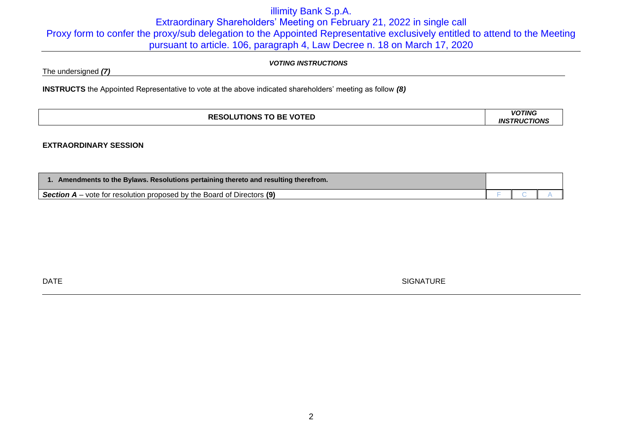# illimity Bank S.p.A. Extraordinary Shareholders' Meeting on February 21, 2022 in single call Proxy form to confer the proxy/sub delegation to the Appointed Representative exclusively entitled to attend to the Meeting pursuant to article. 106, paragraph 4, Law Decree n. 18 on March 17, 2020

### *VOTING INSTRUCTIONS*

The undersigned *(7)*

**INSTRUCTS** the Appointed Representative to vote at the above indicated shareholders' meeting as follow *(8)*

| <b>RES</b><br><b>BE VOTED</b><br>_JTIONS <sup>⊤</sup> | <b>VOTING</b><br>TIONS<br>TRI I.<br>IN. <sup>c</sup> |  |
|-------------------------------------------------------|------------------------------------------------------|--|
|                                                       |                                                      |  |

### **EXTRAORDINARY SESSION**

| 1. Amendments to the Bylaws. Resolutions pertaining thereto and resulting therefrom. |  |  |
|--------------------------------------------------------------------------------------|--|--|
| <b>Section A</b> – vote for resolution proposed by the Board of Directors (9)        |  |  |

DATE SIGNATURE SERVICES IN THE SIGNATURE SERVICE SIGNATURE SIGNATURE SIGNATURE SIGNATURE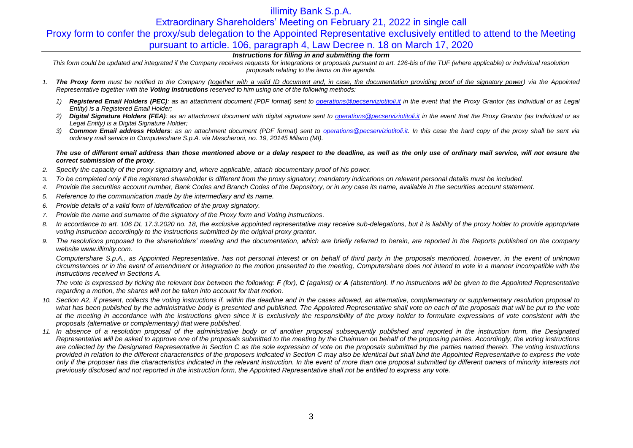# illimity Bank S.p.A.

Extraordinary Shareholders' Meeting on February 21, 2022 in single call

## Proxy form to confer the proxy/sub delegation to the Appointed Representative exclusively entitled to attend to the Meeting pursuant to article. 106, paragraph 4, Law Decree n. 18 on March 17, 2020

### *Instructions for filling in and submitting the form*

This form could be updated and integrated if the Company receives requests for integrations or proposals pursuant to art. 126-bis of the TUF (where applicable) or individual resolution *proposals relating to the items on the agenda.*

- *1. The Proxy form must be notified to the Company (together with a valid ID document and, in case, the documentation providing proof of the signatory power) via the Appointed Representative together with the Voting Instructions reserved to him using one of the following methods:*
	- *1) Registered Email Holders (PEC): as an attachment document (PDF format) sent to [operations@pecserviziotitoli.it](mailto:operations@pecserviziotitoli.it) in the event that the Proxy Grantor (as Individual or as Legal Entity) is a Registered Email Holder;*
	- *2) Digital Signature Holders (FEA): as an attachment document with digital signature sent to [operations@pecserviziotitoli.it](mailto:operations@pecserviziotitoli.it) in the event that the Proxy Grantor (as Individual or as Legal Entity) is a Digital Signature Holder;*
	- *3) Common Email address Holders: as an attachment document (PDF format) sent to [operations@pecserviziotitoli.it.](mailto:operations@pecserviziotitoli.it) In this case the hard copy of the proxy shall be sent via ordinary mail service to Computershare S.p.A. via Mascheroni, no. 19, 20145 Milano (MI).*

### *The use of different email address than those mentioned above or a delay respect to the deadline, as well as the only use of ordinary mail service, will not ensure the correct submission of the proxy.*

- *2. Specify the capacity of the proxy signatory and, where applicable, attach documentary proof of his power.*
- 3. *To be completed only if the registered shareholder is different from the proxy signatory; mandatory indications on relevant personal details must be included.*
- *4. Provide the securities account number, Bank Codes and Branch Codes of the Depository, or in any case its name, available in the securities account statement.*
- *5. Reference to the communication made by the intermediary and its name.*
- *6. Provide details of a valid form of identification of the proxy signatory.*
- *7. Provide the name and surname of the signatory of the Proxy form and Voting instructions.*
- 8. In accordance to art. 106 DL 17.3.2020 no. 18, the exclusive appointed representative may receive sub-delegations, but it is liability of the proxy holder to provide appropriate *voting instruction accordingly to the instructions submitted by the original proxy grantor.*
- *9. The resolutions proposed to the shareholders' meeting and the documentation, which are briefly referred to herein, are reported in the Reports published on the company websit[e www.illimity.com.](http://www.illimity.com/)*

*Computershare S.p.A., as Appointed Representative, has not personal interest or on behalf of third party in the proposals mentioned, however, in the event of unknown circumstances or in the event of amendment or integration to the motion presented to the meeting, Computershare does not intend to vote in a manner incompatible with the instructions received in Sections A.*

The vote is expressed by ticking the relevant box between the following:  $F$  (for),  $C$  (against) or  $A$  (abstention). If no instructions will be given to the Appointed Representative *regarding a motion, the shares will not be taken into account for that motion.*

- *10. Section A2, if present, collects the voting instructions if, within the deadline and in the cases allowed, an alternative, complementary or supplementary resolution proposal to*  what has been published by the administrative body is presented and published. The Appointed Representative shall vote on each of the proposals that will be put to the vote at the meeting in accordance with the instructions given since it is exclusively the responsibility of the proxy holder to formulate expressions of vote consistent with the *proposals (alternative or complementary) that were published.*
- *11. In absence of a resolution proposal of the administrative body or of another proposal subsequently published and reported in the instruction form, the Designated Representative will be asked to approve one of the proposals submitted to the meeting by the Chairman on behalf of the proposing parties. Accordingly, the voting instructions are collected by the Designated Representative in Section C as the sole expression of vote on the proposals submitted by the parties named therein. The voting instructions provided in relation to the different characteristics of the proposers indicated in Section C may also be identical but shall bind the Appointed Representative to express the vote only if the proposer has the characteristics indicated in the relevant instruction. In the event of more than one proposal submitted by different owners of minority interests not previously disclosed and not reported in the instruction form, the Appointed Representative shall not be entitled to express any vote.*